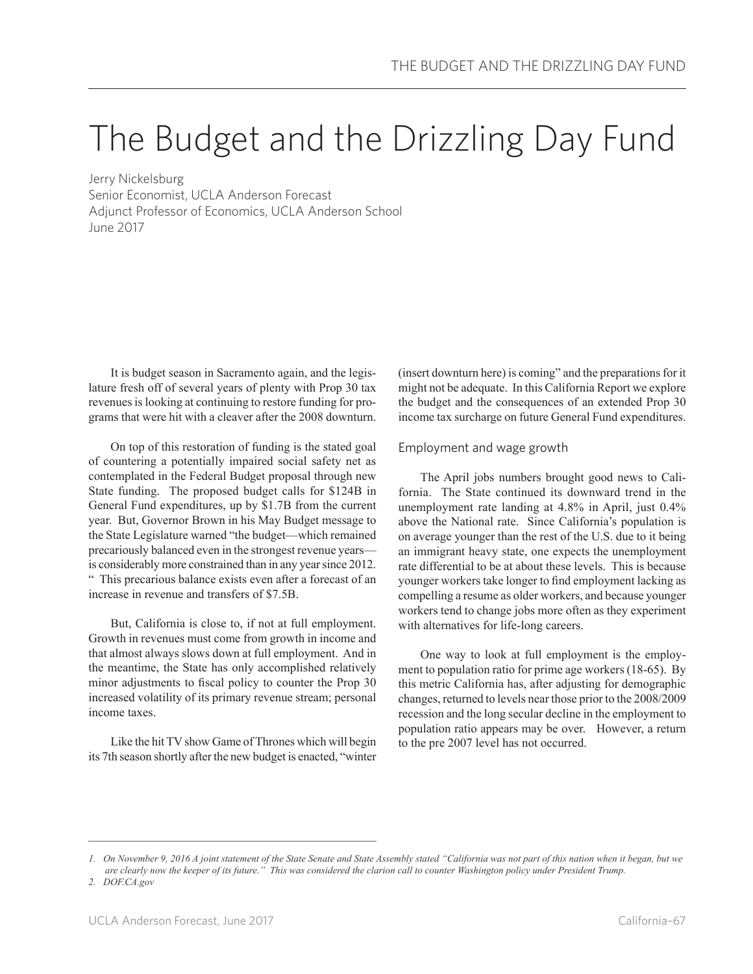# The Budget and the Drizzling Day Fund

Jerry Nickelsburg Senior Economist, UCLA Anderson Forecast Adjunct Professor of Economics, UCLA Anderson School June 2017

It is budget season in Sacramento again, and the legislature fresh off of several years of plenty with Prop 30 tax revenues is looking at continuing to restore funding for programs that were hit with a cleaver after the 2008 downturn.

On top of this restoration of funding is the stated goal of countering a potentially impaired social safety net as contemplated in the Federal Budget proposal through new State funding. The proposed budget calls for \$124B in General Fund expenditures, up by \$1.7B from the current year. But, Governor Brown in his May Budget message to the State Legislature warned "the budget—which remained precariously balanced even in the strongest revenue years is considerably more constrained than in any year since 2012. " This precarious balance exists even after a forecast of an increase in revenue and transfers of \$7.5B.

But, California is close to, if not at full employment. Growth in revenues must come from growth in income and that almost always slows down at full employment. And in the meantime, the State has only accomplished relatively minor adjustments to fiscal policy to counter the Prop 30 increased volatility of its primary revenue stream; personal income taxes.

Like the hit TV show Game of Thrones which will begin its 7th season shortly after the new budget is enacted, "winter (insert downturn here) is coming" and the preparations for it might not be adequate. In this California Report we explore the budget and the consequences of an extended Prop 30 income tax surcharge on future General Fund expenditures.

## Employment and wage growth

The April jobs numbers brought good news to California. The State continued its downward trend in the unemployment rate landing at 4.8% in April, just 0.4% above the National rate. Since California's population is on average younger than the rest of the U.S. due to it being an immigrant heavy state, one expects the unemployment rate differential to be at about these levels. This is because younger workers take longer to find employment lacking as compelling a resume as older workers, and because younger workers tend to change jobs more often as they experiment with alternatives for life-long careers.

One way to look at full employment is the employment to population ratio for prime age workers (18-65). By this metric California has, after adjusting for demographic changes, returned to levels near those prior to the 2008/2009 recession and the long secular decline in the employment to population ratio appears may be over. However, a return to the pre 2007 level has not occurred.

*<sup>1.</sup> On November 9, 2016 A joint statement of the State Senate and State Assembly stated "California was not part of this nation when it began, but we are clearly now the keeper of its future." This was considered the clarion call to counter Washington policy under President Trump.*

*<sup>2.</sup> DOF.CA.gov*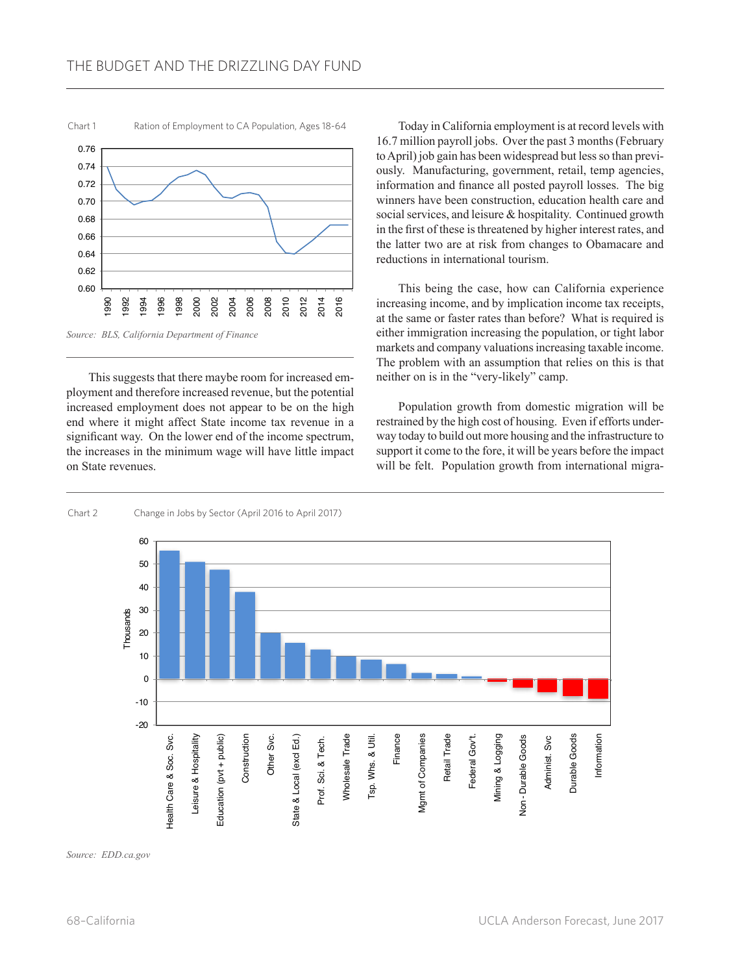

This suggests that there maybe room for increased employment and therefore increased revenue, but the potential increased employment does not appear to be on the high end where it might affect State income tax revenue in a significant way. On the lower end of the income spectrum, the increases in the minimum wage will have little impact on State revenues.

Today in California employment is at record levels with 16.7 million payroll jobs. Over the past 3 months (February to April) job gain has been widespread but less so than previously. Manufacturing, government, retail, temp agencies, information and finance all posted payroll losses. The big winners have been construction, education health care and social services, and leisure & hospitality. Continued growth in the first of these is threatened by higher interest rates, and the latter two are at risk from changes to Obamacare and reductions in international tourism.

This being the case, how can California experience increasing income, and by implication income tax receipts, at the same or faster rates than before? What is required is either immigration increasing the population, or tight labor markets and company valuations increasing taxable income. The problem with an assumption that relies on this is that neither on is in the "very-likely" camp.

Population growth from domestic migration will be restrained by the high cost of housing. Even if efforts underway today to build out more housing and the infrastructure to support it come to the fore, it will be years before the impact will be felt. Population growth from international migra-



*Source: EDD.ca.gov*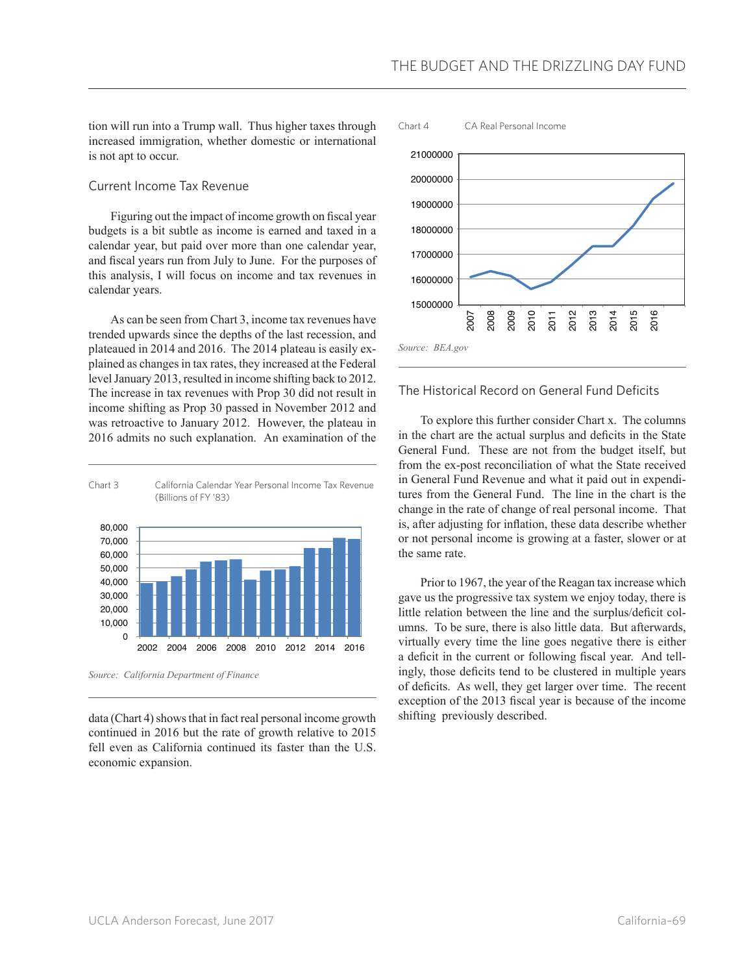tion will run into a Trump wall. Thus higher taxes through increased immigration, whether domestic or international is not apt to occur.

#### Current Income Tax Revenue

Figuring out the impact of income growth on fiscal year budgets is a bit subtle as income is earned and taxed in a calendar year, but paid over more than one calendar year, and fiscal years run from July to June. For the purposes of this analysis, I will focus on income and tax revenues in calendar years.

As can be seen from Chart 3, income tax revenues have trended upwards since the depths of the last recession, and plateaued in 2014 and 2016. The 2014 plateau is easily explained as changes in tax rates, they increased at the Federal level January 2013, resulted in income shifting back to 2012. The increase in tax revenues with Prop 30 did not result in income shifting as Prop 30 passed in November 2012 and was retroactive to January 2012. However, the plateau in 2016 admits no such explanation. An examination of the



*Source: California Department of Finance*

data (Chart 4) shows that in fact real personal income growth continued in 2016 but the rate of growth relative to 2015 fell even as California continued its faster than the U.S. economic expansion.



## The Historical Record on General Fund Deficits

To explore this further consider Chart x. The columns in the chart are the actual surplus and deficits in the State General Fund. These are not from the budget itself, but from the ex-post reconciliation of what the State received in General Fund Revenue and what it paid out in expenditures from the General Fund. The line in the chart is the change in the rate of change of real personal income. That is, after adjusting for inflation, these data describe whether or not personal income is growing at a faster, slower or at the same rate.

Prior to 1967, the year of the Reagan tax increase which gave us the progressive tax system we enjoy today, there is little relation between the line and the surplus/deficit columns. To be sure, there is also little data. But afterwards, virtually every time the line goes negative there is either a deficit in the current or following fiscal year. And tellingly, those deficits tend to be clustered in multiple years of deficits. As well, they get larger over time. The recent exception of the 2013 fiscal year is because of the income shifting previously described.